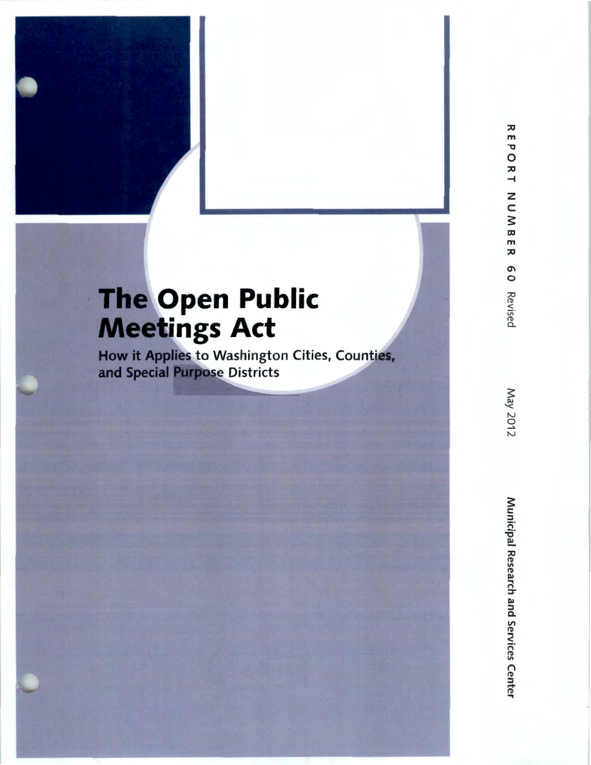# **The Open Public Meetings Act**

How it **Applies** to Washington Cities, Counties, **and Special Purpose Districts**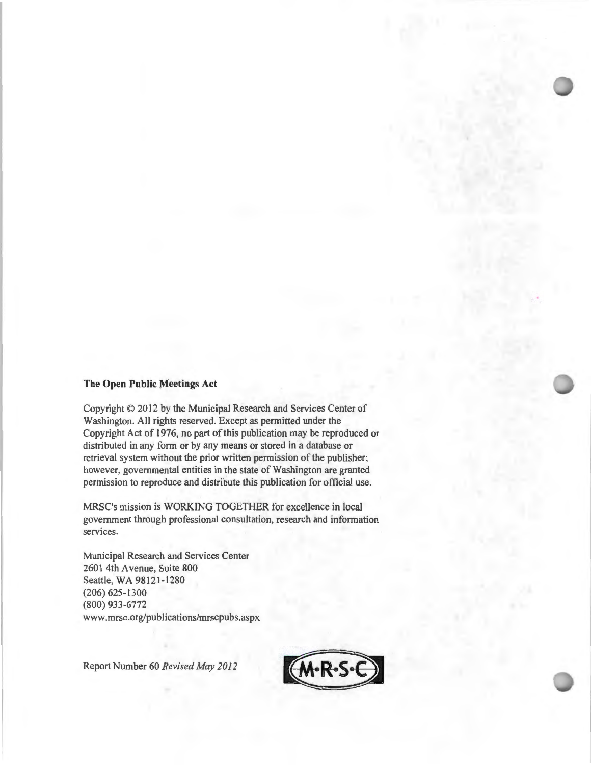#### **The Open Public Meetings Act**

Copyright © 2012 by the Municipal Research and Services Center of Washington. All rights reserved. Except as permitted under the Copyright Act of 1976, no part of this publication may be reproduced or distributed in any form or by any means or stored in a database or retrieval system without the prior written permission of the publisher; however, governmental entities in the state of Washington are granted permission to reproduce and distribute this publication for official use.

MRSC's mission is WORKING TOGETHER for excellence in local government through professional consultation, research and information services.

Municipal Research and Services Center 2601 4th Avenue, Suite 800 Seattle, WA 98121-1280 (206) 625-1300 (800) 933-6772 www.mrsc.org/publications/mrscpubs.aspx

Report Number 60 *Revised May 2012* 

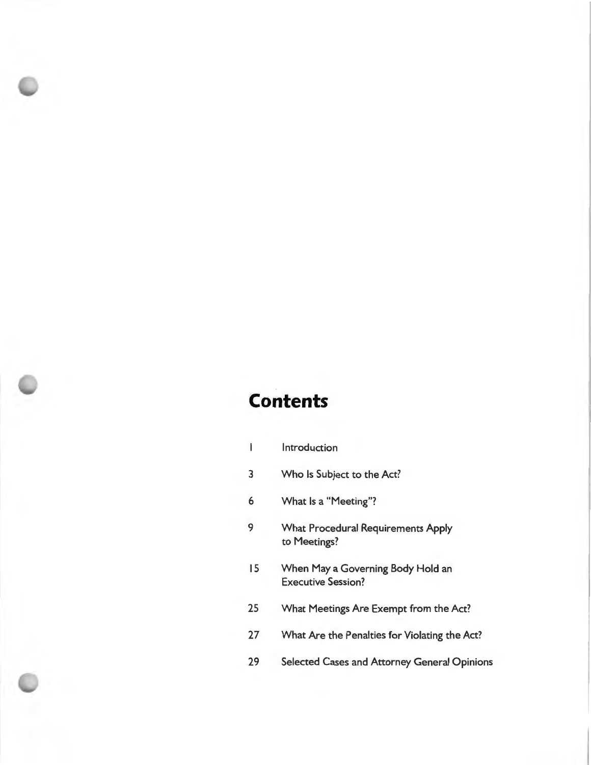# **Contents**

| $\overline{\phantom{a}}$ | Introduction                                                   |
|--------------------------|----------------------------------------------------------------|
| 3                        | Who Is Subject to the Act?                                     |
| 6                        | What Is a "Meeting"?                                           |
| 9                        | <b>What Procedural Requirements Apply</b><br>to Meetings?      |
| 15                       | When May a Governing Body Hold an<br><b>Executive Session?</b> |
| 25                       | What Meetings Are Exempt from the Act?                         |
| 27                       | What Are the Penalties for Violating the Act?                  |
| 29                       | Selected Cases and Attorney General Opinions                   |
|                          |                                                                |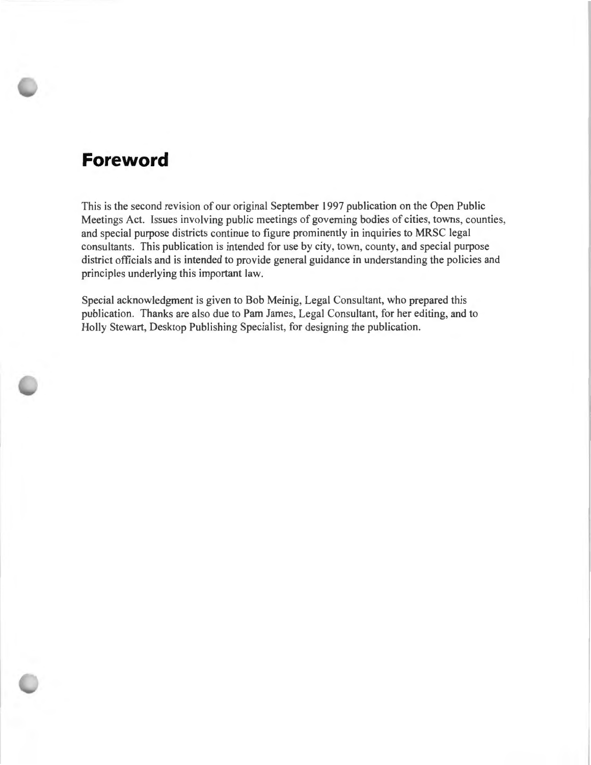### **Foreword**

This is the second revision of our original September 1997 publication on the Open Public Meetings Act. Issues involving public meetings of governing bodies of cities, towns, counties, and special purpose districts continue to figure prominently in inquiries to MRSC legal consultants. This publication is intended for use by city, town, county, and special purpose district officials and is intended to provide general guidance in understanding the policies and principles underlying this important law.

Special acknowledgment is given to Bob Meinig, Legal Consultant, who prepared this publication. Thanks are also due to Pam James, Legal Consultant, for her editing, and to Holly Stewart, Desktop Publishing Specialist, for designing the publication.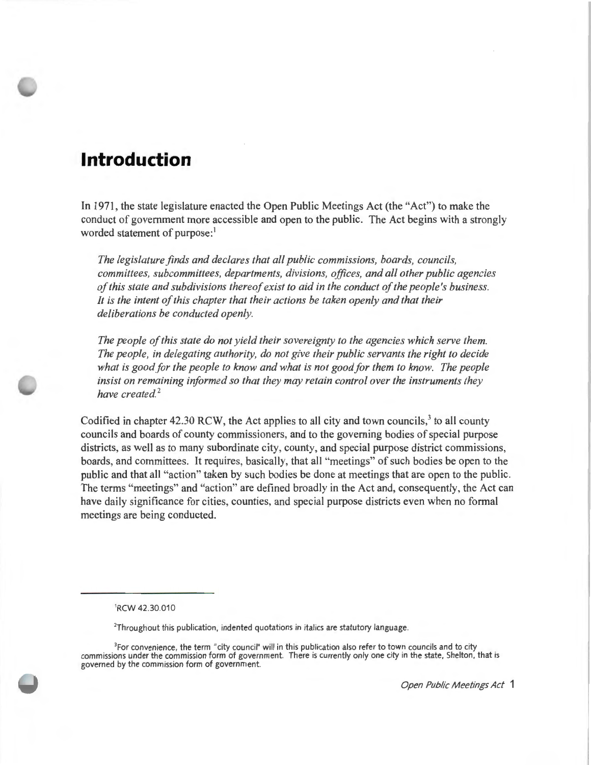### **Introduction**

In 1971, the state legislature enacted the Open Public Meetings Act (the "Act") to make the conduct of government more accessible and open to the public. The Act begins with a strongly worded statement of purpose:<sup>1</sup>

*The legislature finds and declares that all public commissions, boards, councils, committees, subcommittees, departments, divisions, offices, and all other public agencies of this state and subdivisions thereof exist to aid in the conduct of the people's business. It is the intent of this chapter that their actions be taken openly and that their deliberations be conducted openly.* 

*The people of this state do not yield their sovereignty to the agencies which serve them. The people, in delegating authority, do not give their public servants the right to decide what is good for the people to know and what is not good for them to know. The people insist on remaining informed so that they may retain control over the instruments they have created.* <sup>2</sup>

Codified in chapter 42.30 RCW, the Act applies to all city and town councils,<sup>3</sup> to all county councils and boards of county commissioners, and to the governing bodies of special purpose districts, as well as to many subordinate city, county, and special purpose district commissions, boards, and committees. It requires, basically, that all "meetings" of such bodies be open to the public and that all "action" taken by such bodies be done at meetings that are open to the public. The terms "meetings" and "action" are defined broadly in the Act and, consequently, the Act can have daily significance for cities, counties, and special purpose districts even when no formal meetings are being conducted.

<sup>1</sup> RCW 42.30.010

<sup>&</sup>lt;sup>2</sup>Throughout this publication, indented quotations in italics are statutory language.

<sup>&</sup>lt;sup>3</sup>For convenience, the term "city council" will in this publication also refer to town councils and to city commissions under the commission form of government. There is currently only one city in the state, Shelton, that is governed by the commission form of government.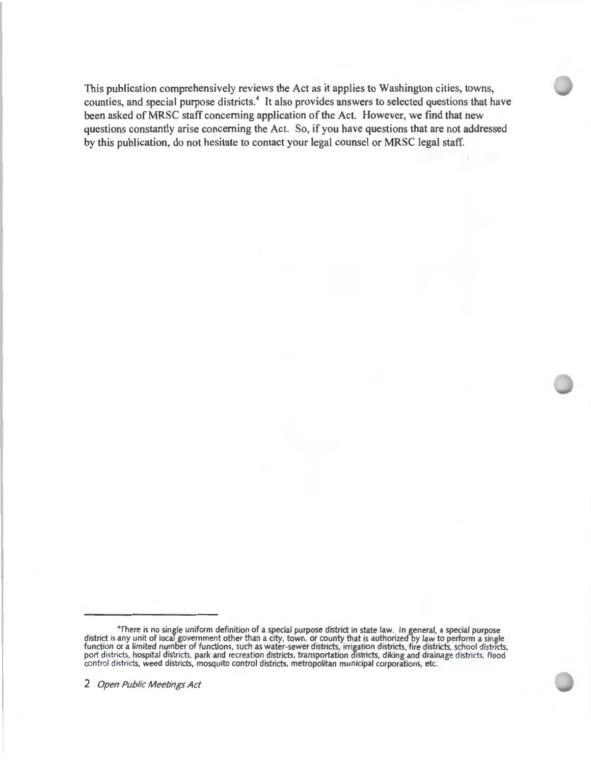This publication comprehensively reviews the Act as it applies to Washington cities, towns, counties, and special purpose districts.<sup>4</sup> It also provides answers to selected questions that have been asked of MRSC staff concerning application of the Act. However, we find that new questions constantly arise concerning the Act. So, if you have questions that are not addressed by this publication, do not hesitate to contact your legal counsel or MRSC legal staff.

<sup>4</sup> There is no single uniform definition of a special purpose district in state law. In general, a special purpose district is any unit of local government other than a city, town, or county that is authorized by law to perform a single function or a limited number of functions, such as water-sewer districts, irrigation districts, fire districts, school districts, port districts, hospital districts, park and recreation districts, transportation districts, diking and drainage districts, flood control districts, weed districts, mosquito control districts, metropolitan municipal corporations, etc.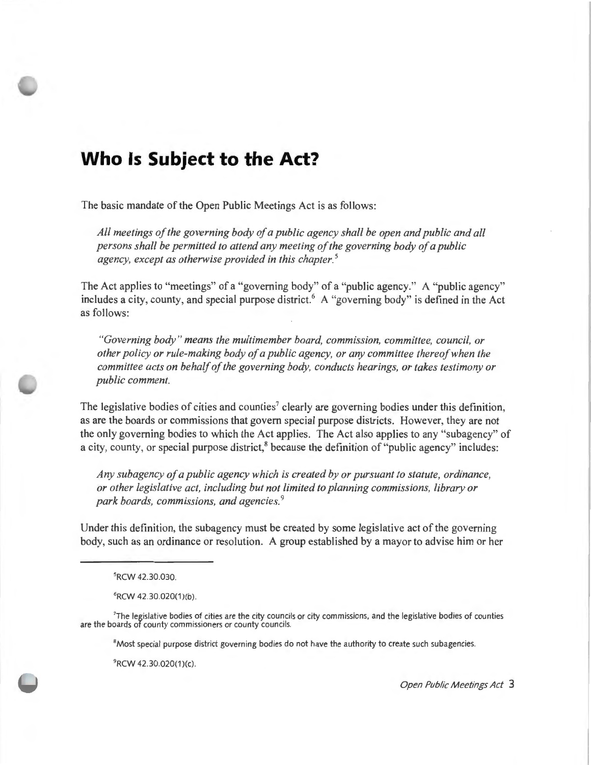# **Who Is Subject to the Act?**

The basic mandate of the Open Public Meetings Act is as follows:

*All meetings of the governing body of a public agency shall be open and public and all persons shall be permitted to attend any meeting of the governing body of a public agency, except as otherwise provided in this chapter. 5* 

The Act applies to "meetings" of a "governing body" of a "public agency." A "public agency" includes a city, county, and special purpose district.<sup>6</sup> A "governing body" is defined in the Act as follows:

*"Governing body " means the multimember board, commission, committee, council, or other policy or rule-making body of a public agency, or any committee thereof when the committee acts on behalf of the governing body, conducts hearings, or takes testimony or public comment.* 

The legislative bodies of cities and counties<sup>7</sup> clearly are governing bodies under this definition, as are the boards or commissions that govern special purpose districts. However, they are not the only governing bodies to which the Act applies. The Act also applies to any "subagency" of a city, county, or special purpose district,<sup>8</sup> because the definition of "public agency" includes:

*Any subagency of a public agency which is created by or pursuant to statute, ordinance, or other legislative act, including but not limited to planning commissions, library or park boards, commissions, and agencies.*  9

Under this definition, the subagency must be created by some legislative act of the governing body, such as an ordinance or resolution. A group established by a mayor to advise him or her

6 RCW 42 .30.020(1 )(b).

7 The legislative bodies of cities are the city councils or city commissions, and the legislative bodies of counties are the boards of county commissioners or county councils.

8 Most special purpose district governing bodies do not have the authority to create such subagencies.

9 RCW 42.30.020(1 )(c)

<sup>5</sup> RCW 42 .30.030.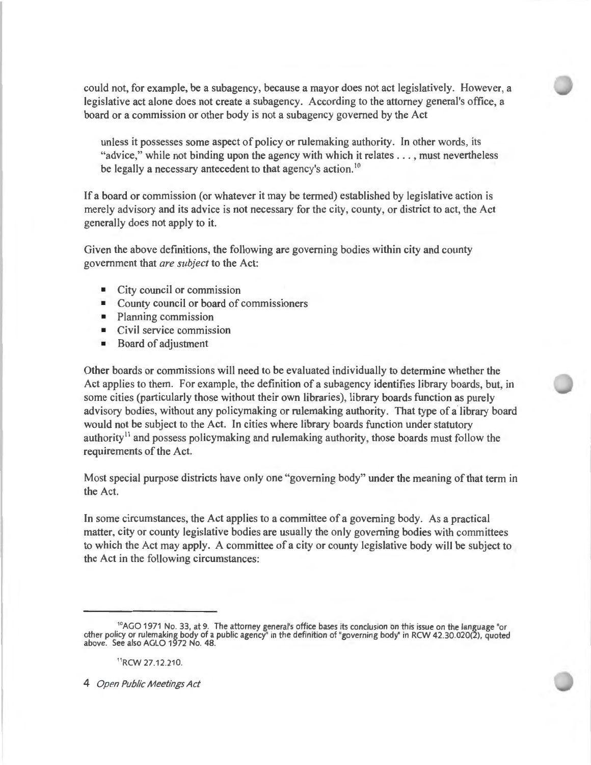could not, for example, be a subagency, because a mayor does not act legislatively. However, a legislative act alone does not create a subagency. According to the attorney general's office, a board or a commission or other body is not a subagency governed by the Act

unless it possesses some aspect of policy or rulemaking authority. In other words, its "advice," while not binding upon the agency with which it relates . . . , must nevertheless be legally a necessary antecedent to that agency's action.<sup>10</sup>

If a board or commission (or whatever it may be termed) established by legislative action is merely advisory and its advice is not necessary for the city, county, or district to act, the Act generally does not apply to it.

Given the above definitions, the following are governing bodies within city and county government that *are subject* to the Act:

- City council or commission
- County council or board of commissioners
- Planning commission
- Civil service commission
- Board of adjustment

Other boards or commissions will need to be evaluated individually to determine whether the Act applies to them. For example, the definition of a subagency identifies library boards, but, in some cities (particularly those without their own libraries), library boards function as purely advisory bodies, without any policymaking or rulemaking authority. That type of a library board would not be subject to the Act. In cities where library boards function under statutory authority<sup>11</sup> and possess policymaking and rulemaking authority, those boards must follow the requirements of the Act.

Most special purpose districts have only one "governing body" under the meaning of that term in the Act.

In some circumstances, the Act applies to a committee of a governing body. As a practical matter, city or county legislative bodies are usually the only governing bodies with committees to which the Act may apply. A committee of a city or county legislative body will be subject to the Act in the following circumstances:

<sup>10</sup>AGO 1971 No. 33, at 9. The attorney general's office bases its conclusion on this issue on the language "or other policy or rulemaking body of a public agency" in the definition of "governing body" in RCW 42.30.020(2), quoted above. See also AGLO 1972 No. 48.

<sup>11</sup>RCW 27.12.210.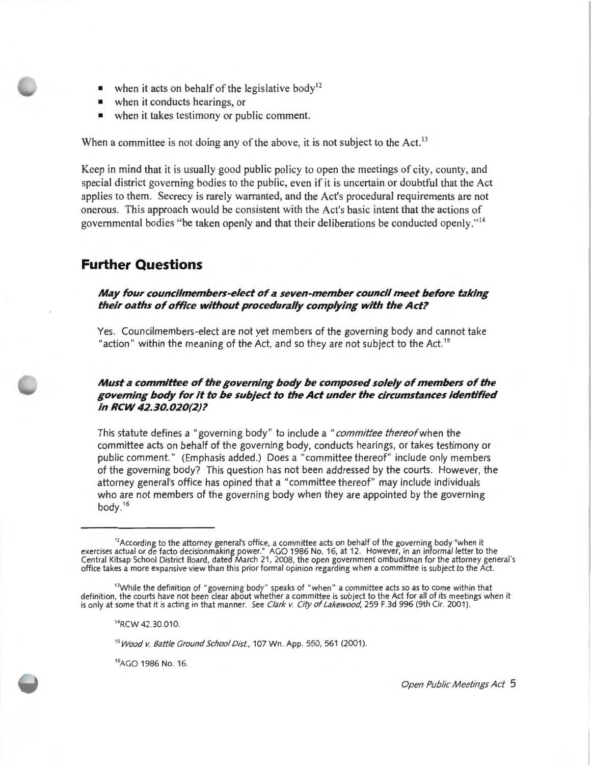- when it acts on behalf of the legislative body<sup>12</sup>
- when it conducts hearings, or
- when it takes testimony or public comment.

When a committee is not doing any of the above, it is not subject to the Act.<sup>13</sup>

Keep in mind that it is usually good public policy to open the meetings of city, county, and special district governing bodies to the public, even if it is uncertain or doubtful that the Act applies to them. Secrecy is rarely warranted, and the Act's procedural requirements are not onerous. This approach would be consistent with the Act's basic intent that the actions of governmental bodies "be taken openly and that their deliberations be conducted openly." <sup>14</sup>

### **Further Questions**

#### *May four councilmembers-elect of a seven-member council meet before taking their oaths of office without procedurally complying with the Act?*

Yes. Councilmembers-elect are not yet members of the governing body and cannot take "action" within the meaning of the Act, and so they are not subject to the Act.<sup>15</sup>

#### *Must a committee of the governing body be composed solely of members of the governing body for it to be subject to the Act under the circumstances identified in RCW 42.30.020(2)?*

This statute defines a "governing body" to include a "committee thereof when the committee acts on behalf of the governing body, conducts hearings, or takes testimony or public comment." (Emphasis added.) Does a "committee thereof" include only members of the governing body? This question has not been addressed by the courts. However, the attorney general's office has opined that a " committee thereof" may include individuals who are not members of the governing body when they are appointed by the governing body. <sup>16</sup>

<sup>14</sup>RCW 42.30.010.

<sup>15</sup> Wood v. Battle Ground School Dist., 107 Wn. App. 550, 561 (2001).

<sup>16</sup>AGO 1986 No. 16.

 $12$ According to the attorney general's office, a committee acts on behalf of the governing body "when it exercises actual or de facto decisionmaking power." AGO 1986 No. 16, at 12. However, in an informal letter to the Central Kitsap School District Board, dated March 21 , 2008, the open government ombudsman for the attorney general's office takes a more expansive view than this prior formal opinion regarding when a committee is subject to the Act.

<sup>&</sup>lt;sup>13</sup>While the definition of "governing body" speaks of "when" a committee acts so as to come within that definition, the courts have not been clear about whether a committee is subject to the Act for all of its meetings when it is only at some that it is acting in that manner. See Clark v. City of Lakewood, 259 F.3d 996 (9th Cir. 2001).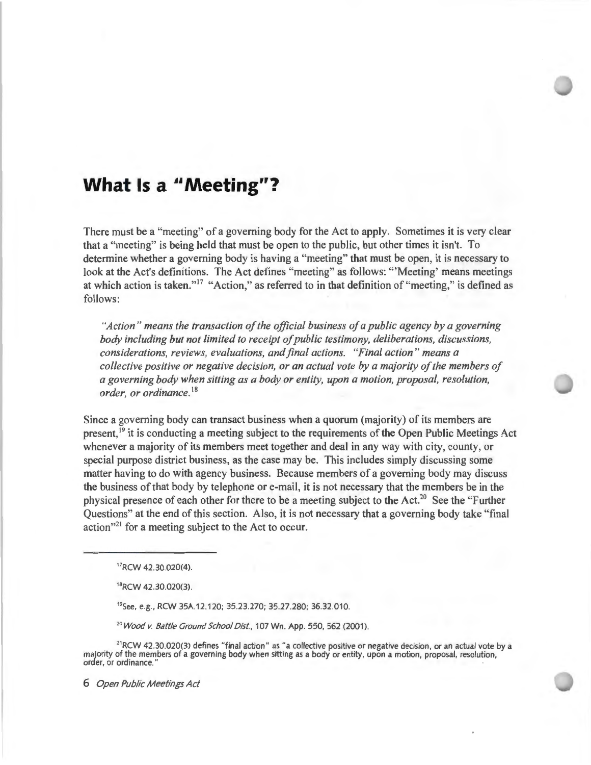### **What Is a** '' **Meeting"?**

There must be a "meeting" of a governing body for the Act to apply. Sometimes it is very clear that a "meeting" is being held that must be open to the public, but other times it isn't. To determine whether a governing body is having a "meeting" that must be open, it is necessary to look at the Act's definitions. The Act defines "meeting" as follows: "'Meeting' means meetings at which action is taken."<sup>17</sup> "Action," as referred to in that definition of "meeting," is defined as follows:

*"Action " means the transaction of the official business of a public agency by a governing body including but not limited to receipt of public testimony, deliberations, discussions, considerations, reviews, evaluations, and final actions. "Final action " means a collective positive or negative decision, or an actual vote by a majority of the members of a governing body when sitting as a body or entity, upon a motion, proposal, resolution, order, or ordinance.* <sup>18</sup>

Since a governing body can transact business when a quorum (majority) of its members are present,<sup>19</sup> it is conducting a meeting subject to the requirements of the Open Public Meetings Act whenever a majority of its members meet together and deal in any way with city, county, or special purpose district business, as the case may be. This includes simply discussing some matter having to do with agency business. Because members of a governing body may discuss the business of that body by telephone or e-mail, it is not necessary that the members be in the physical presence of each other for there to be a meeting subject to the Act.<sup>20</sup> See the "Further" Questions" at the end of this section. Also, it is not necessary that a governing body take "final action"<sup>21</sup> for a meeting subject to the Act to occur.

<sup>17</sup>RCW 42.30.020(4)

<sup>18</sup>RCW 42.30.020(3).

<sup>19</sup>See, e.g. , RCW 35A12.120; 35.23.270; 35.27.280; 36.32.010.

*<sup>20</sup> Wood v. Battle Ground School Dist,* 107 Wn. App. 550,562 (2001).

 $21$ RCW 42.30.020(3) defines "final action" as "a collective positive or negative decision, or an actual vote by a majority of the members of a governing body when sitting as a body or entity, upon a motion, proposal, resolution, order, or ordinance.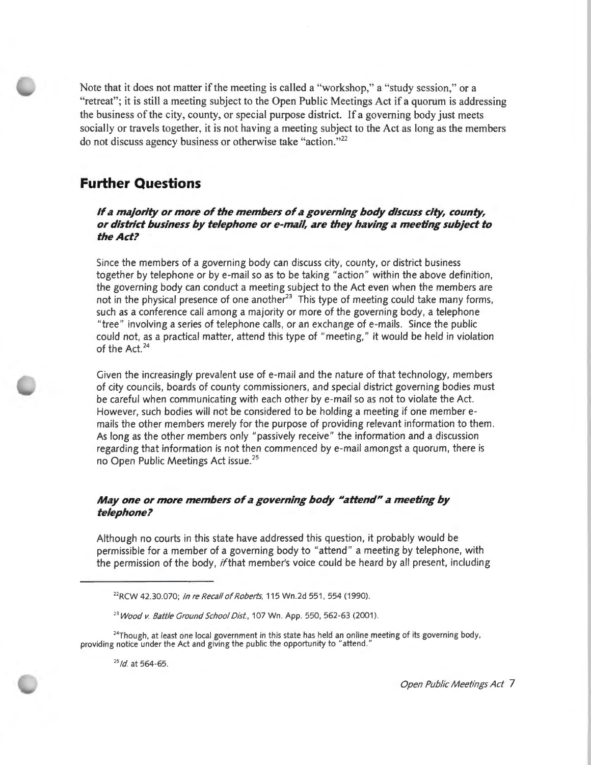Note that it does not matter if the meeting is called a "workshop," a "study session," or a "retreat"; it is still a meeting subject to the Open Public Meetings Act if a quorum is addressing the business of the city, county, or special purpose district. If a governing body just meets socially or travels together, it is not having a meeting subject to the Act as long as the members do not discuss agency business or otherwise take "action."<sup>22</sup>

### **Further Questions**

If a majority or more of the members of a governing body discuss city, county, *or district business by telephone or e-mdi/, dre they helving* **d** *meeting subject to the Act?* 

Since the members of a governing body can discuss city, county, or district business together by telephone or by e-mail so as to be taking "action" within the above definition, the governing body can conduct a meeting subject to the Act even when the members are not in the physical presence of one another<sup>23</sup> This type of meeting could take many forms, such as a conference call among a majority or more of the governing body, a telephone "tree" involving a series of telephone calls, or an exchange of e-mails. Since the public could not, as a practical matter, attend this type of "meeting," it would be held in violation of the Act.<sup>24</sup>

Given the increasingly prevalent use of e-mail and the nature of that technology, members of city councils, boards of county commissioners, and special district governing bodies must be careful when communicating with each other by e-mail so as not to violate the Act. However, such bodies will not be considered to be holding a meeting if one member emails the other members merely for the purpose of providing relevant information to them. As long as the other members only "passively receive" the information and a discussion regarding that information is not then commenced by e-mail amongst a quorum, there is no Open Public Meetings Act issue. <sup>25</sup>

#### *May one or more members of a governing body "attend" a meeting by telephone?*

Although no courts in this state have addressed this question, it probably would be permissible for a member of a governing body to "attend" a meeting by telephone, with the permission of the body, if that member's voice could be heard by all present, including

 $^{24}$ Though, at least one local government in this state has held an online meeting of its governing body, providing notice under the Act and giving the public the opportunity to "attend."

<sup>25</sup>*/d* at 564-65.

<sup>&</sup>lt;sup>22</sup>RCW 42.30.070; In re Recall of Roberts, 115 Wn.2d 551, 554 (1990).

<sup>&</sup>lt;sup>23</sup> Wood v. Battle Ground School Dist., 107 Wn. App. 550, 562-63 (2001).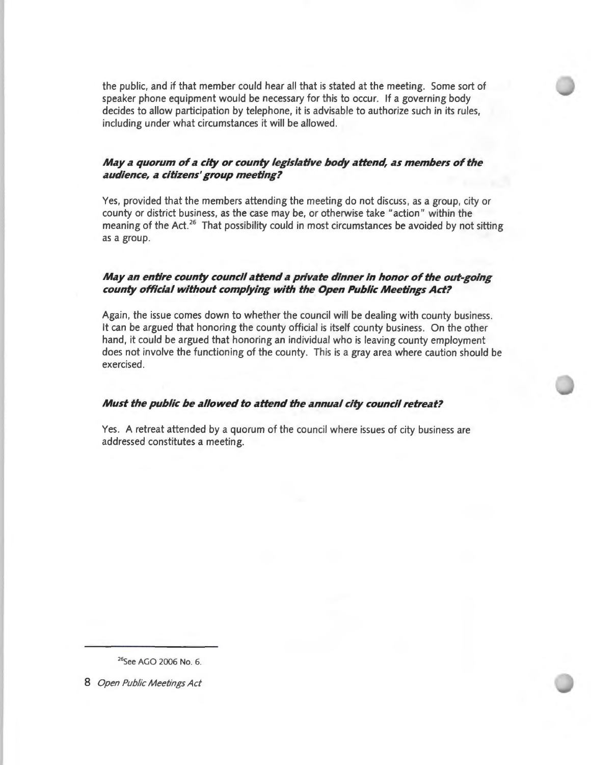the public, and if that member could hear all that is stated at the meeting. Some sort of speaker phone equipment would be necessary for this to occur. If a governing body decides to allow participation by telephone, it is advisable to authorize such in its rules, including under what circumstances it will be allowed.

#### *May a quorum of a city or county legislative body attend, as members of the audience, a citizens' group meeting?*

Yes, provided that the members attending the meeting do not discuss, as a group, city or county or district business, as the case may be, or otherwise take "action" within the meaning of the Act.<sup>26</sup> That possibility could in most circumstances be avoided by not sitting as a group.

#### *May an entire county council attend a private dinner in honor of the out-going county official without complying with the Open Public Meetings Act?*

Again, the issue comes down to whether the council will be dealing with county business. It can be argued that honoring the county official is itself county business. On the other hand, it could be argued that honoring an individual who is leaving county employment does not involve the functioning of the county. This is a gray area where caution should be exercised.

#### *Must the public be allowed to attend the annual city council retreat?*

Yes. A retreat attended by a quorum of the council where issues of city business are addressed constitutes a meeting.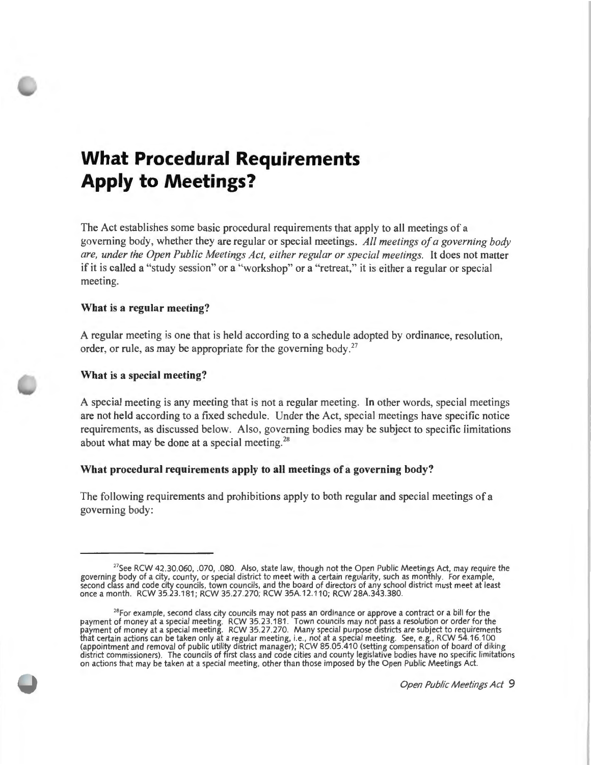# **What Procedural Requirements Apply to Meetings?**

The Act establishes some basic procedural requirements that apply to all meetings of a governing body, whether they are regular or specia l meetings. *All meetings of a governing body are, under the Open Public Meetings Act, either regular or special meetings.* It does not matter if it is called a " study session" or a "workshop" or a "retreat," it is either a regular or special meeting.

#### **What is a regular meeting?**

A regular meeting is one that is held according to a schedule adopted by ordinance, resolution, order, or rule, as may be appropriate for the governing body. $27$ 

#### **What is a special meeting?**

A special meeting is any meeting that is not a regular meeting. In other words, special meetings are not held according to a fixed schedule. Under the Act, special meetings have specific notice requirements, as discussed below. Also, governing bodies may be subject to specific limitations about what may be done at a special meeting.<sup>28</sup>

#### **What procedural requirements apply to all meetings of a governing body?**

The following requirements and prohibitions apply to both regular and special meetings of a governing body:

<sup>&</sup>lt;sup>27</sup>See RCW 42.30.060, .070, .080. Also, state law, though not the Open Public Meetings Act, may require the governing body of a city, county, or special district to meet with a certain regularity, such as monthly. For example, second class and code city councils, town councils, and the board of directors of any school district must meet at least once a month. RCW 35.23.181; RCW 35.27.270; RCW 35A.12.110; RCW 28A.343.380.

<sup>&</sup>lt;sup>28</sup>For example, second class city councils may not pass an ordinance or approve a contract or a bill for the payment of money at a special meeting. RCW 35.23.181 . Town councils may not pass a resolution or order for the payment of money at a special meeting. RCW 35.27.270. Many special purpose districts are subject to requirements that certain actions can be taken only at a regular meeting, i.e., not at a special meeting. See, e.g., RCW 54.16.100 (appointment and removal of public utility district manager); RCW 85.05.410 (setting compensation of board of diking district commissioners). The councils of first class and code cities and county legislative bodies have no specific limitations on actions that may be taken at a special meeting, other than those imposed by the Open Public Meetings Act.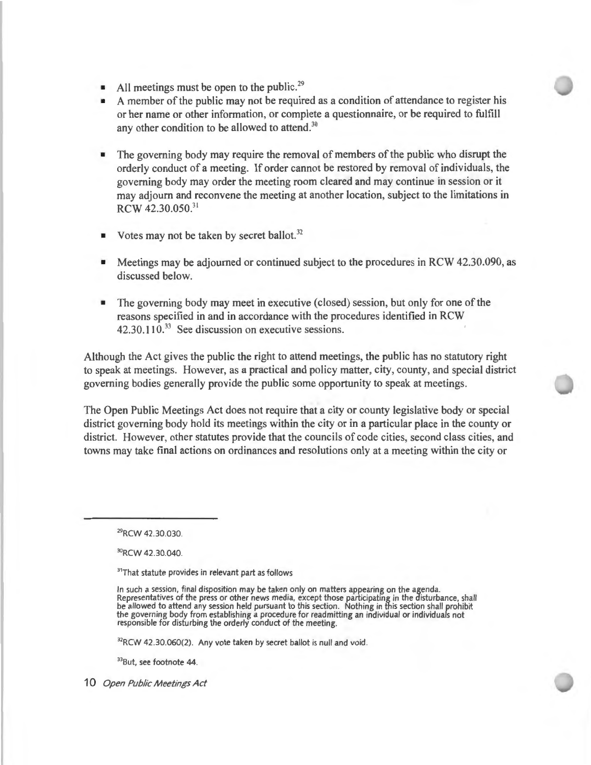- All meetings must be open to the public.<sup>29</sup>
- A member of the public may not be required as a condition of attendance to register his or her name or other information, or complete a questionnaire, or be required to fulfill any other condition to be allowed to attend.<sup>30</sup>
- The governing body may require the removal of members of the public who disrupt the orderly conduct of a meeting. If order cannot be restored by removal of individuals, the governing body may order the meeting room cleared and may continue in session or it may adjourn and reconvene the meeting at another location, subject to the limitations in RCW 42.30.050.<sup>31</sup>
- Votes may not be taken by secret ballot. $32$
- Meetings may be adjourned or continued subject to the procedures in RCW 42.30.090, as discussed below.
- The governing body may meet in executive (closed) session, but only for one of the reasons specified in and in accordance with the procedures identified in RCW 42.30.110.<sup>33</sup> See discussion on executive sessions.

Although the Act gives the public the right to attend meetings, the public has no statutory right to speak at meetings. However, as a practical and policy matter, city, county, and special district governing bodies generally provide the public some opportunity to speak at meetings.

The Open Public Meetings Act does not require that a city or county legislative body or special district governing body hold its meetings within the city or in a particular place in the county or district. However, other statutes provide that the councils of code cities, second class cities, and towns may take final actions on ordinances and resolutions only at a meeting within the city or

<sup>30</sup>RCW 42.30.040.

<sup>31</sup>That statute provides in relevant part as follows

In such a session, final disposition may be taken only on matters appearing on the agenda. Representatives of the press or other news media, except those participating in the disturbance, shall be allowed to attend any session held pursuant to this section. Nothing in this section shall prohibit the governing body from establishing a procedure for readmitting an individual or individuals not responsible for disturbing the orderly conduct of the meeting.

32RCW 42.30.060(2). Any vote taken by secret ballot is null and void.

33But, see footnote 44.

<sup>29</sup>RCW 42.30.030.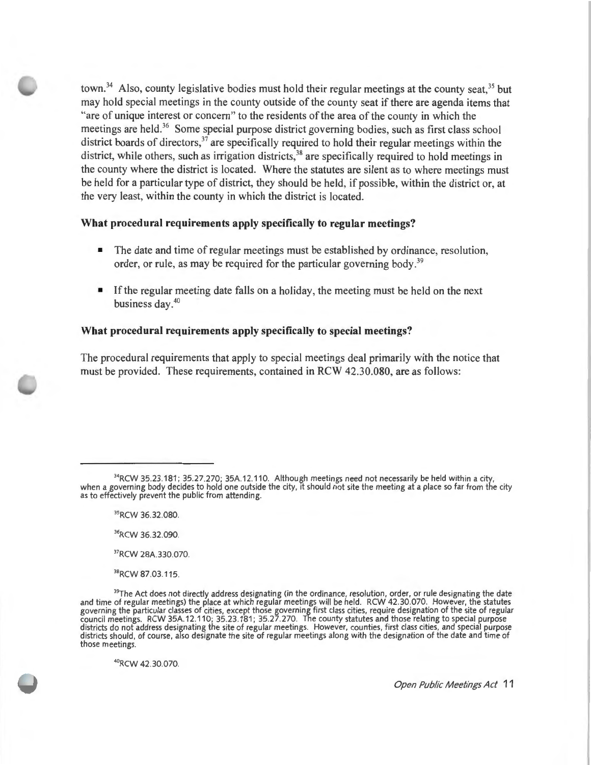town.<sup>34</sup> Also, county legislative bodies must hold their regular meetings at the county seat,<sup>35</sup> but may hold special meetings in the county outside of the county seat if there are agenda items that "are of unique interest or concern" to the residents of the area of the county in which the meetings are held.<sup>36</sup> Some special purpose district governing bodies, such as first class school district boards of directors,<sup>37</sup> are specifically required to hold their regular meetings within the district, while others, such as irrigation districts,<sup>38</sup> are specifically required to hold meetings in the county where the district is located. Where the statutes are silent as to where meetings must be held for a particular type of district, they should be held, if possible, within the district or, at the very least, within the county in which the district is located.

#### **What procedural requirements apply specifically to regular meetings?**

- The date and time of regular meetings must be established by ordinance, resolution, order, or rule, as may be required for the particular governing body.<sup>39</sup>
- If the regular meeting date falls on a holiday, the meeting must be held on the next business day.<sup>40</sup>

#### **What procedural requirements apply specifically to special meetings?**

The procedural requirements that apply to special meetings deal primarily with the notice that must be provided. These requirements, contained in RCW 42.30.080, are as follows:

36RCW 36.32.090.

37RCW 28A.330.070.

<sup>38</sup>RCW 87.03.115.

<sup>40</sup>RCW 42.30.070.

 $34$ RCW 35.23.181; 35.27.270; 35A.12.110. Although meetings need not necessarily be held within a city, when a governing body decides to hold one outside the city, it should not site the meeting at a place so far from the city as to effectively prevent the public from attending.

<sup>35</sup>RCW 36.32.080.

 $39$ The Act does not directly address designating (in the ordinance, resolution, order, or rule designating the date and time of regular meetings) the place at which regular meetings will be held. RCW 42.30.070. However, the statutes governing the particular classes of cities, except those governing first class cities, require designation of the site of regular council meetings. RCW 35A.12.110; 35.23.181 ; 35.27.270. The county statutes and those relating to special purpose districts do not address designating the site of regular meetings. However, counties, first class cities, and special purpose districts should , of course, also designate the site of regular meetings along with the designation of the date and time of those meetings.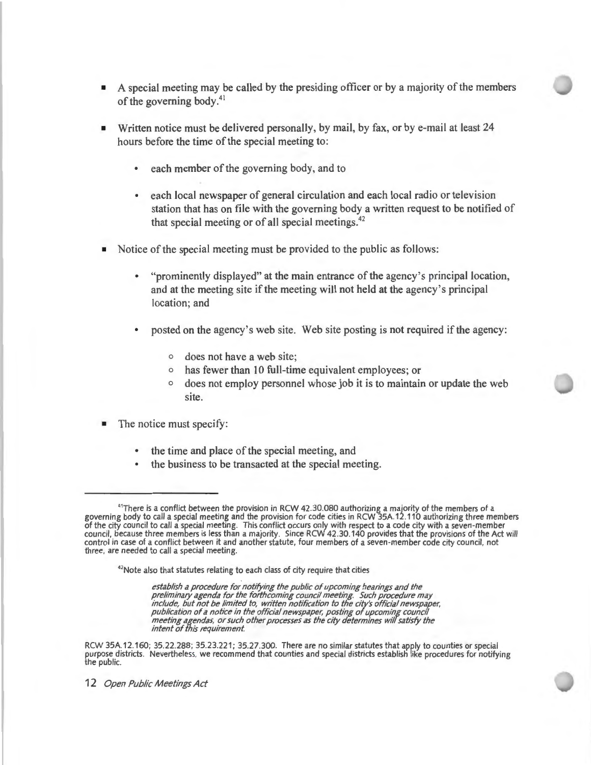- A special meeting may be called by the presiding officer or by a majority of the members of the governing body.<sup>41</sup>
- Written notice must be delivered personally, by mail, by fax, or by e-mail at least 24 hours before the time of the special meeting to:
	- each member of the governing body, and to
	- each local newspaper of general circulation and each local radio or television station that has on file with the governing body a written request to be notified of that special meeting or of all special meetings. $42$
- Notice of the special meeting must be provided to the public as follows:
	- "prominently displayed" at the main entrance of the agency 's principal location, and at the meeting site if the meeting will not held at the agency's principal location; and
	- posted on the agency's web site. Web site posting is not required if the agency:
		- o does not have a web site;
		- o has fewer than 10 full-time equivalent employees; or
		- o does not employ personnel whose job it is to maintain or update the web site.
- The notice must specify:
	- the time and place of the special meeting, and
	- the business to be transacted at the special meeting.

<sup>42</sup>Note also that statutes relating to each class of city require that cities

*establish a procedure for notifying the public of upcoming hearings and the preliminary agenda for the forthcoming council meeting. Such procedure may include, but not be limited to, written notification to the city's official newspaper, publication of a notice in the official newspaper, posting of upcoming council meeting agendas, or such other processes as the city determines will satisfy the intent of this requirement.* 

RCW 35A.12.160; 35.22.288; 35.23.221; 35.27.300. There are no similar statutes that apply to counties or special purpose districts. Nevertheless, we recommend that counties and special districts establish like procedures for notifying the public.

<sup>41</sup>There is a conflict between the provision in RCW 42.30.080 authorizing a majority of the members of a governing body to call a special meeting and the provision for code cities in RCW 35A.12.110 authorizing three members of the city council to call a special meeting. This conflict occurs only with respect to a code city with a seven-member council, because three members is less than a majority. Since RCW 42.30.140 provides that the provisions of the Act will control in case of a conflict between it and another statute, four members of a seven-member code city council, not three, are needed to call a special meeting.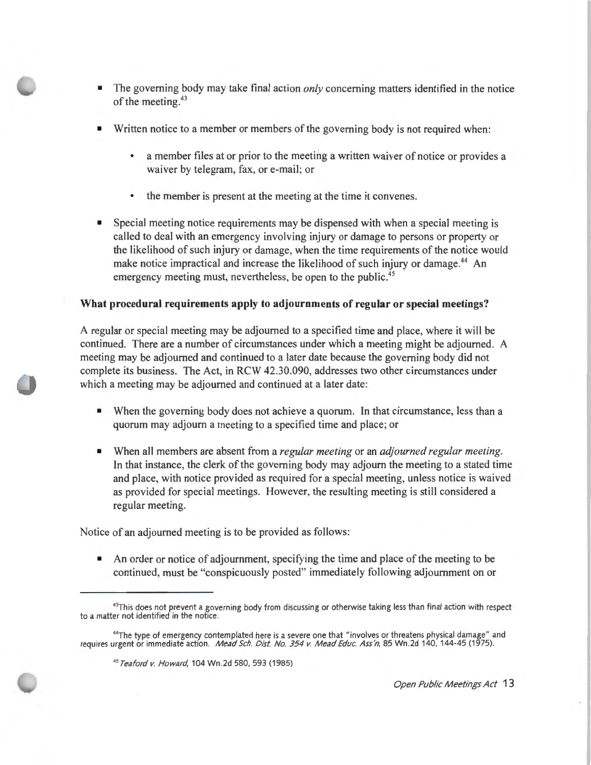- The governing body may take final action *only* concerning matters identified in the notice of the meeting.<sup>43</sup>
- Written notice to a member or members of the governing body is not required when:
	- a member files at or prior to the meeting a written waiver of notice or provides a waiver by telegram, fax, or e-mail; or
	- the member is present at the meeting at the time it convenes.
- Special meeting notice requirements may be dispensed with when a special meeting is called to deal with an emergency involving injury or damage to persons or property or the likelihood of such injury or damage, when the time requirements of the notice would make notice impractical and increase the likelihood of such injury or damage.<sup>44</sup> An emergency meeting must, nevertheless, be open to the public.<sup>45</sup>

#### **What procedural requirements apply to adjournments of regular or special meetings?**

A regular or special meeting may be adjourned to a specified time and place, where it will be continued. There are a number of circumstances under which a meeting might be adjourned. A meeting may be adjourned and continued to a later date because the governing body did not complete its business. The Act, in RCW 42.30.090, addresses two other circumstances under which a meeting may be adjourned and continued at a later date:

- When the governing body does not achieve a quorum. In that circumstance, less than a quorum may adjourn a meeting to a specified time and place; or
- When all members are absent from a *regular meeting* or an *adjourned regular meeting.*  In that instance, the clerk of the governing body may adjourn the meeting to a stated time and place, with notice provided as required for a special meeting, unless notice is waived as provided for special meetings. However, the resulting meeting is still considered a regular meeting.

Notice of an adjourned meeting is to be provided as follows:

• An order or notice of adjournment, specifying the time and place of the meeting to be continued, must be "conspicuously posted" immediately following adjournment on or

<sup>43</sup>This does not prevent a governing body from discussing or otherwise taking less than final action with respect to a matter not identified in the notice.

<sup>&</sup>lt;sup>44</sup>The type of emergency contemplated here is a severe one that "involves or threatens physical damage" and requires urgent or immediate action. *Mead Sch. Dist. No. 354 v. Mead Educ. Ass'n*, 85 Wn 2d 140, 144-45 (1975).

<sup>45</sup>Teaford v. Howard, 104 Wn .2d 580, 593 (1985)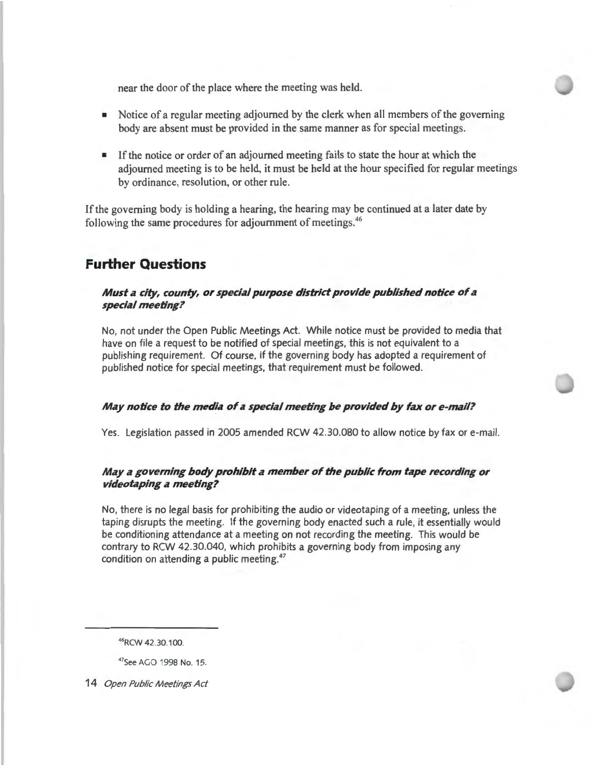near the door of the place where the meeting was held.

- Notice of a regular meeting adjourned by the clerk when all members of the governing body are absent must be provided in the same manner as for special meetings.
- **•** If the notice or order of an adjourned meeting fails to state the hour at which the adjourned meeting is to be held, it must be held at the hour specified for regular meetings by ordinance, resolution, or other rule.

If the governing body is holding a hearing, the hearing may be continued at a later date by following the same procedures for adjournment of meetings. <sup>46</sup>

### **Further Questions**

#### *Must a city, county, or special purpose district provide published notice of a special meeting?*

No, not under the Open Public Meetings Act. While notice must be provided to media that have on file a request to be notified of special meetings, this is not equivalent to a publishing requirement. Of course, if the governing body has adopted a requirement of published notice for special meetings, that requirement must be followed.

#### *May notice to the media of a special meeting be provided by fax or e-mail?*

Yes. Legislation passed in 2005 amended RCW 42.30.080 to allow notice by fax or e-mail.

#### *May a governing body prohibit a member of the public from tape recording or videotaping a meeting?*

No, there is no legal basis for prohibiting the audio or videotaping of a meeting, unless the taping disrupts the meeting. If the governing body enacted such a rule, it essentially would be conditioning attendance at a meeting on not recording the meeting. This would be contrary to RCW 42.30.040, which prohibits a governing body from imposing any condition on attending a public meeting. 47

<sup>46</sup>RCW 42.30.100.

<sup>47</sup>See AGO 1998 No. 15.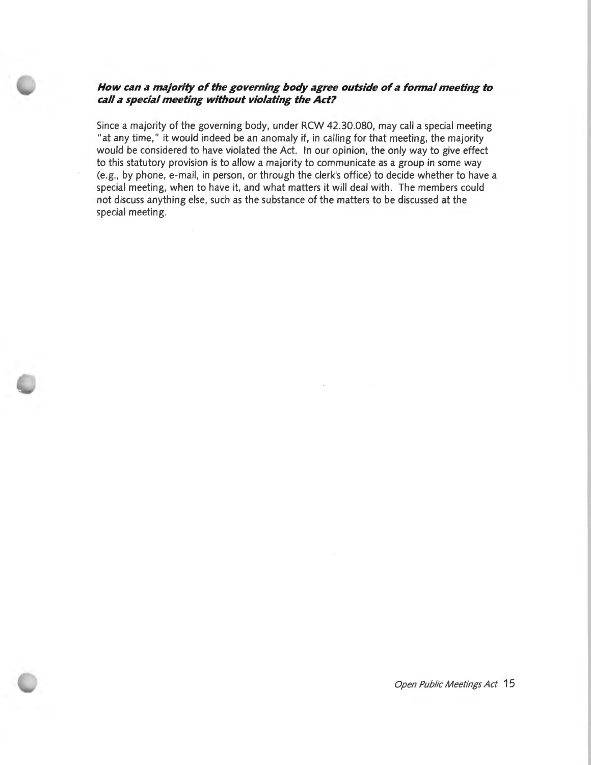#### *How can a majority of the governing body agree outside of a formal meeting to call a special meeting without violating the Act?*

Since a majority of the governing body, under RCW 42.30.080, may call a special meeting "at any time," it would indeed be an anomaly if, in calling for that meeting, the majority would be considered to have violated the Act. In our opinion, the only way to give effect to this statutory provision is to allow a majority to communicate as a group in some way (e.g., by phone, e-mail, in person, or through the clerk's office) to decide whether to have a special meeting, when to have it, and what matters it will deal with. The members could not discuss anything else, such as the substance of the matters to be discussed at the special meeting.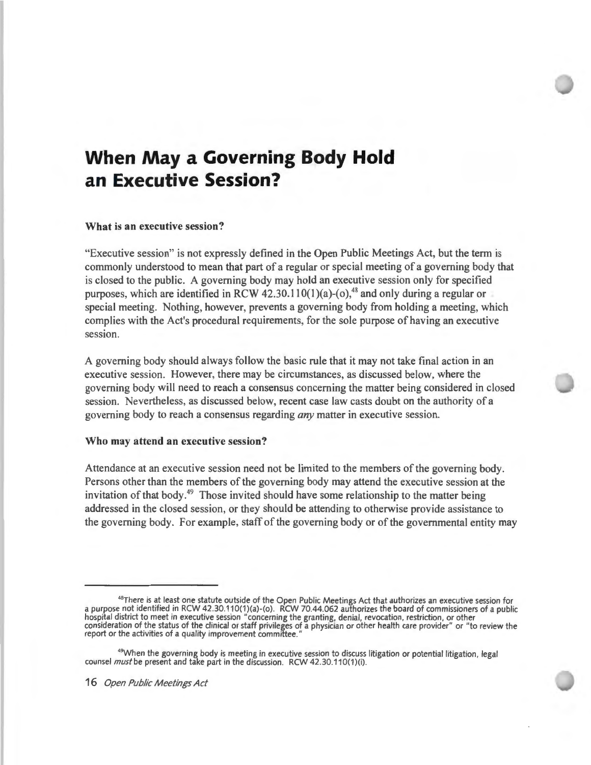# **When May a Governing Body Hold an Executive Session?**

#### **What is an executive session?**

"Executive session" is not expressly defined in the Open Public Meetings Act, but the term is commonly understood to mean that part of a regular or special meeting of a governing body that is closed to the public. A governing body may hold an executive session only for specified purposes, which are identified in RCW 42.30.110(1)(a)-(o),<sup>48</sup> and only during a regular or special meeting. Nothing, however, prevents a governing body from holding a meeting, which complies with the Act's procedural requirements, for the sole purpose of having an executive session.

A governing body should always follow the basic rule that it may not take final action in an executive session. However, there may be circumstances, as discussed below, where the governing body will need to reach a consensus concerning the matter being considered in closed session. Nevertheless, as discussed below, recent case law casts doubt on the authority of a governing body to reach a consensus regarding *any* matter in executive session.

#### **Who may attend an executive session?**

Attendance at an executive session need not be limited to the members of the governing body. Persons other than the members of the governing body may attend the executive session at the invitation of that body. 49 Those invited should have some relationship to the matter being addressed in the closed session, or they should be attending to otherwise provide assistance to the governing body. For example, staff of the governing body or of the governmental entity may

<sup>&</sup>lt;sup>48</sup>There is at least one statute outside of the Open Public Meetings Act that authorizes an executive session for a purpose not identified in RCW 42.30.110(1)(a)-(o). RCW 70.44.062 authorizes the board of commissioners of a public hospital district to meet in executive session "concerning the granting, denial, revocation, restriction, or other consideration of the status of the clinical or staff privileges of a physician or other health care provider" or "to review the report or the activities of a quality improvement committee."

<sup>&</sup>lt;sup>49</sup>When the governing body is meeting in executive session to discuss litigation or potential litigation, legal counsel *must* be present and take part in the discussion. RCW 42.30.110(1)(i).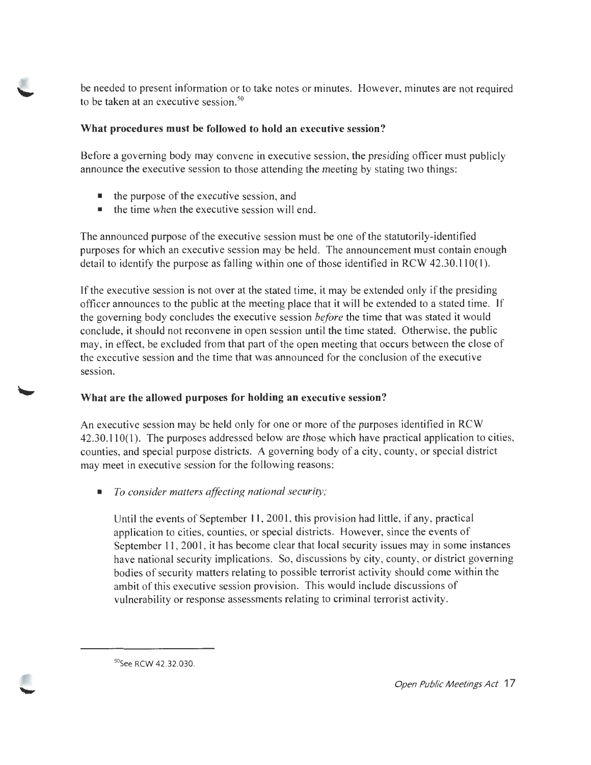be needed to present information or to take notes or minutes. However, minutes are not required to be taken at an executive session.<sup>50</sup>

#### **What procedures must be followed to hold an executive session?**

Before a governing body may convene in executive session, the presiding officer must publicly announce the executive session to those attending the meeting by stating two things:

- $\blacksquare$  the purpose of the executive session, and
- $\blacksquare$  the time when the executive session will end.

The announced purpose of the executive session must be one of the statutorily-identified purposes for which an executive session may be held. The announcement must contain enough detail to identify the purpose as falling within one of those identified in RCW  $42.30.110(1)$ .

If the executive session is not over at the stated time, it may be extended only if the presiding officer announces to the public at the meeting place that it will be extended to a stated time. If the governing body concludes the executive session *before* the time that was stated it would conclude, it should not reconvene in open session until the time stated. Otherwise, the public may, in effect, be excluded from that part of the open meeting that occurs between the close of the executive session and the time that was announced for the conclusion of the executive session.

### **What are the allowed purposes for holding an executive session?**

An executive session may be held only for one or more of the purposes identified in RCW 42.30.110(1). The purposes addressed below are those which have practical application to cities, counties, and special purpose districts. A governing body of a city, county, or special district may meet in executive session for the following reasons:

• *To consider matters affecting national security;* 

Until the events of September 11, 2001, this provision had little, if any, practical application to cities, counties, or special districts. However, since the events of September 11, 2001, it has become clear that local security issues may in some instances have national security implications. So, discussions by city, county, or district governing bodies of security matters relating to possible terrorist activity should come within the ambit of this executive session provision. This would include discussions of vulnerability or response assessments relating to criminal terrorist activity.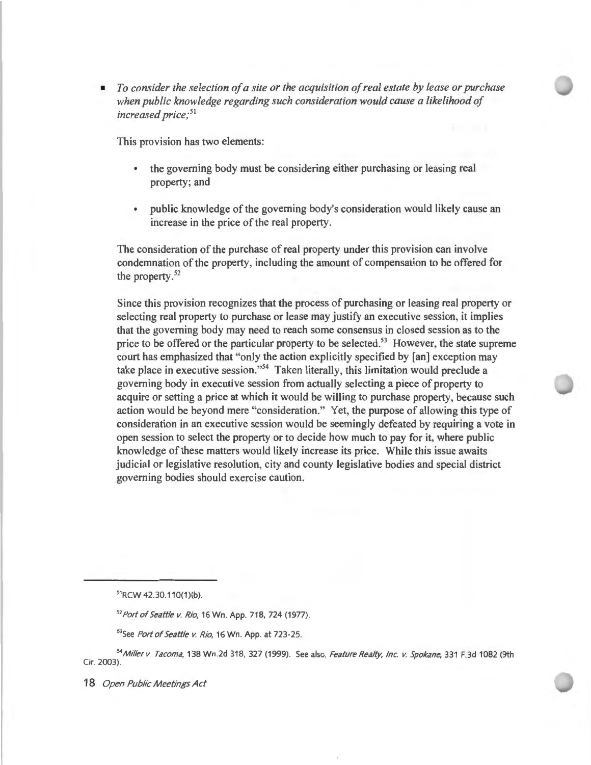• To *consider the selection of a site or the acquisition of real estate by lease or purchase when public knowledge regarding such consideration would cause a likelihood of increased price;* 51

This provision has two elements:

- the governing body must be considering either purchasing or leasing real property; and
- public knowledge of the governing body's consideration would likely cause an increase in the price of the real property.

The consideration of the purchase of real property under this provision can involve condemnation of the property, including the amount of compensation to be offered for the property.<sup>52</sup>

Since this provision recognizes that the process of purchasing or leasing real property or selecting real property to purchase or lease may justify an executive session, it implies that the governing body may need to reach some consensus in closed session as to the price to be offered or the particular property to be selected.<sup>53</sup> However, the state supreme court has emphasized that "only the action explicitly specified by [an] exception may take place in executive session."<sup>54</sup> Taken literally, this limitation would preclude a governing body in executive session from actually selecting a piece of property to acquire or setting a price at which it would be willing to purchase property, because such action would be beyond mere "consideration." Yet, the purpose of allowing this type of consideration in an executive session would be seemingly defeated by requiring a vote in open session to select the property or to decide how much to pay for it, where public knowledge of these matters would likely increase its price. While this issue awaits judicial or legislative resolution, city and county legislative bodies and special district governing bodies should exercise caution.

<sup>51</sup>RCW 42.30.110(1)(b)

<sup>52</sup>Port of Seattle v. Rio, 16 Wn. App. 718, 724 (1977).

53See Port of Seattle v. Rio, 16 Wn. App. at 723-25.

*<sup>54</sup>*Miller v. Tacoma, 138 Wn.2d 318, 327 (1999). See also, Feature Realty, Inc. v. Spokane, 331 F.3d 1082 (9th Cir. 2003).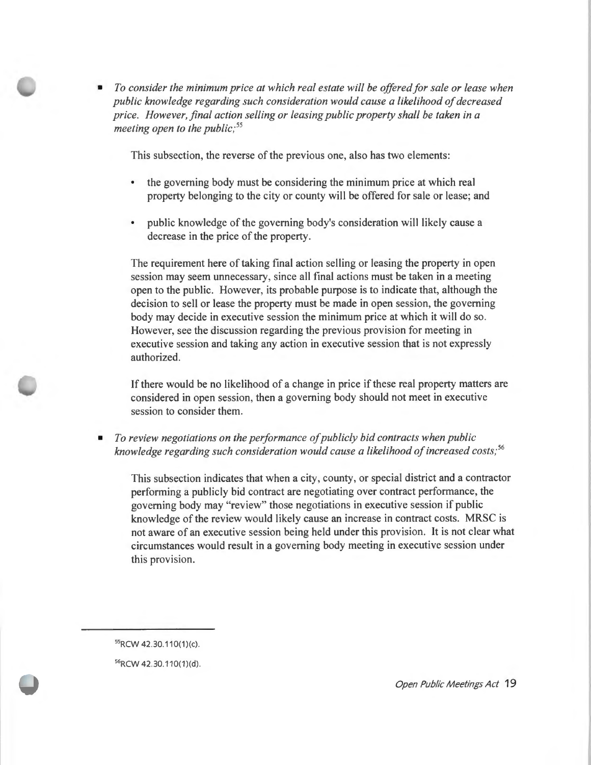• *To consider the minimum price at which real estate will be offered for sale or lease when public knowledge regarding such consideration would cause a likelihood of decreased price. However, final action selling or leasing public property shall be taken in a meeting open to the public; 55* 

This subsection, the reverse of the previous one, also has two elements:

- the governing body must be considering the minimum price at which real property belonging to the city or county will be offered for sale or lease; and
- public knowledge of the governing body's consideration will likely cause a decrease in the price of the property.

The requirement here of taking final action selling or leasing the property in open session may seem unnecessary, since all final actions must be taken **in** a meeting open to the public. However, its probable purpose is to indicate that, although the decision to sell or lease the property must be made in open session, the governing body may decide **in** executive session the minimum price at which it will do so. However, see the discussion regarding the previous provision for meeting in executive session and taking any action in executive session that is not expressly authorized.

If there would be no likelihood of a change in price if these real property matters are considered in open session, then a governing body should not meet in executive session to consider them.

• *To review negotiations on the performance of publicly bid contracts when public knowledge regarding such consideration would cause a likelihood of increased costs; 56* 

This subsection indicates that when a city, county, or special district and a contractor performing a publicly bid contract are negotiating over contract performance, the governing body may "review" those negotiations in executive session if public knowledge of the review would likely cause an increase in contract costs. MRSC is not aware of an executive session being held under this provision. It is not clear what circumstances would result in a governing body meeting in executive session under this provision.

55RCW 42.30.110(1)(c).

56RCW 42.30.110(1)(d).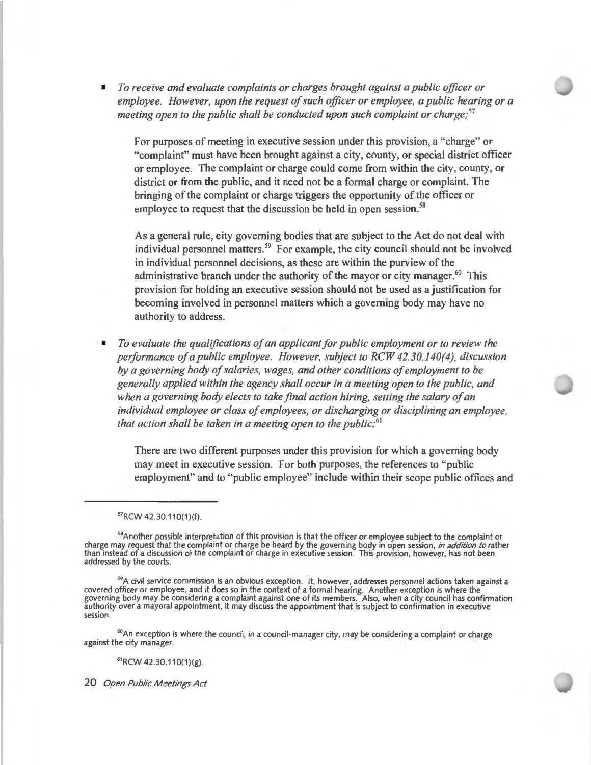• *To receive and evaluate complaints or charges brought against a public officer or employee. However, upon the request of such officer or employee, a public hearing or a meeting open to the public shall be conducted upon such complaint or charge; <sup>57</sup>*

For purposes of meeting in executive session under this provision, a "charge" or "complaint" must have been brought against a city, county, or special district officer or employee. The complaint or charge could come from within the city, county, or district or from the public, and it need not be a formal charge or complaint. The bringing of the complaint or charge triggers the opportunity of the officer or employee to request that the discussion be held in open session.<sup>58</sup>

As a general rule, city governing bodies that are subject to the Act do not deal with individual personnel matters. 59 For example, the city council should not be involved in individual personnel decisions, as these are within the purview of the administrative branch under the authority of the mayor or city manager.<sup>60</sup> This provision for holding an executive session should not be used as a justification for becoming involved in personnel matters which a governing body may have no authority to address.

• *To evaluate the qualifications of an applicant for public employment or to review the performance of a public employee. However, subject to RCW 42.30.140(4), discussion by a governing body of salaries, wages, and other conditions of employment to be generally applied within the agency shall occur in a meeting open to the public, and when a governing body elects to take final action hiring, setting the salary of an individual employee or class of employees, or discharging or disciplining an employee, that action shall be taken in a meeting open to the public;*<sup>61</sup>

There are two different purposes under this provision for which a governing body may meet in executive session. For both purposes, the references to "public employment" and to "public employee" include within their scope public offices and

<sup>58</sup>Another possible interpretation of this provision is that the officer or employee subject to the complaint or charge may request that the complaint or charge be heard by the governing body in open session, *in addition to* rather<br>than instead of a discussion of the complaint or charge in executive session. This provision, however, addressed by the courts.

 $59A$  civil service commission is an obvious exception. It, however, addresses personnel actions taken against a covered officer or employee, and it does so in the context of a formal hearing. Another exception is where the governing body may be considering a complaint against one of its members. Also, when a city council has confirmation authority over a mayoral appointment, it may discuss the appointment that is subject to confirmation in executive session.

 $60$ An exception is where the council, in a council-manager city, may be considering a complaint or charge against the city manager.

<sup>61</sup>RCW 42.30.110(1)(g).

<sup>57</sup>RCW 42.30.110(1)(f).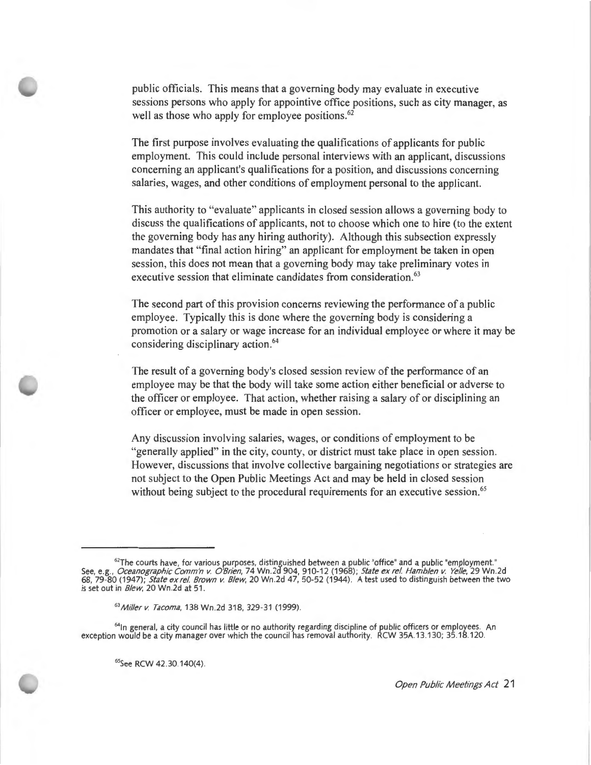public officials. This means that a governing body may evaluate in executive sessions persons who apply for appointive office positions, such as city manager, as well as those who apply for employee positions.<sup>62</sup>

The first purpose involves evaluating the qualifications of applicants for public employment. This could include personal interviews with an applicant, discussions concerning an applicant's qualifications for a position, and discussions concerning salaries, wages, and other conditions of employment personal to the applicant.

This authority to "evaluate" applicants in closed session allows a governing body to discuss the qualifications of applicants, not to choose which one to hire (to the extent the governing body has any hiring authority). Although this subsection expressly mandates that "final action hiring" an applicant for employment be taken in open session, this does not mean that a governing body may take preliminary votes in executive session that eliminate candidates from consideration.<sup>63</sup>

The second part of this provision concerns reviewing the performance of a public employee. Typically this is done where the governing body is considering a promotion or a salary or wage increase for an individual employee or where it may be considering disciplinary action. <sup>64</sup>

The result of a governing body's closed session review of the performance of an employee may be that the body will take some action either beneficial or adverse to the officer or employee. That action, whether raising a salary of or disciplining an officer or employee, must be made in open session.

Any discussion involving salaries, wages, or conditions of employment to be "generally applied" in the city, county, or district must take place in open session. However, discussions that involve collective bargaining negotiations or strategies are not subject to the Open Public Meetings Act and may be held in closed session without being subject to the procedural requirements for an executive session.<sup>65</sup>

<sup>64</sup>In general, a city council has little or no authority regarding discipline of public officers or employees. An exception would be a city manager over which the council has removal authority. RCW 35A.13.130; 35.18.120.

<sup>65</sup>See RCW 42.30 140(4).

 $^{62}$ The courts have, for various purposes, distinguished between a public "office" and a public "employment."  $\,$ See, e.g., *Oceanographic Comm'n v. O'Brien,* 74 Wn .2d 904, 910-12 (1968) ; *State ex rel Hamblen v. Yelle,* 29 Wn.2d 68, 79-80 (1947); *State ex rel Brown v. Blew,* 20 Wn .2d 47, 50-52 (1944). A test used to distinguish between the two is set out in *Blew,* 20 Wn .2d at 51 .

<sup>63</sup>*Miller v. Tacoma,* 138 Wn.2d 318, 329-31 (1999).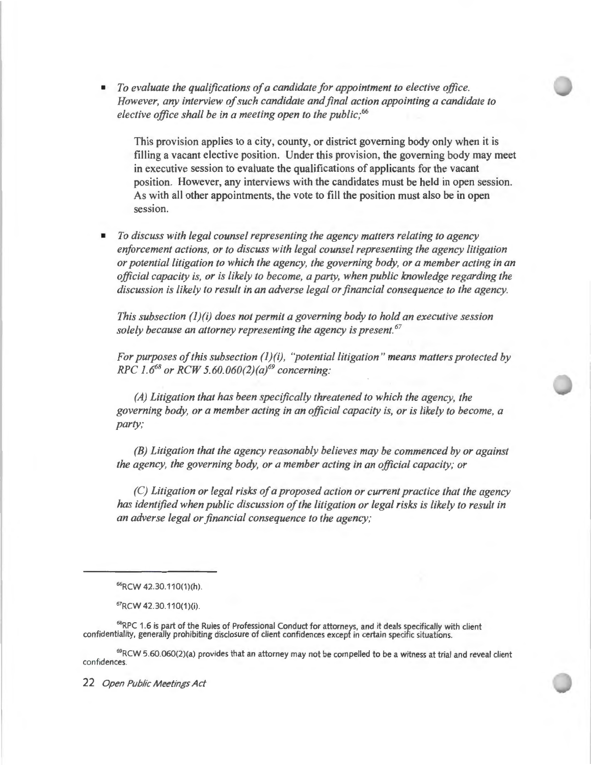• *To evaluate the qualifications of a candidate for appointment to elective office. However, any interview of such candidate and final action appointing a candidate to elective office shall be in a meeting open to the public,· 66* 

This provision applies to a city, county, or district governing body only when it is filling a vacant elective position. Under this provision, the governing body may meet in executive session to evaluate the qualifications of applicants for the vacant position. However, any interviews with the candidates must be held in open session. As with all other appointments, the vote to fill the position must also be in open session.

• *To discuss with legal counsel representing the agency matters relating to agency enforcement actions, or to discuss with legal counsel representing the agency litigation or potential litigation to which the agency, the governing body, or a member acting in an official capacity is, or is likely to become, a party, when public knowledge regarding the discussion is likely to result in an adverse legal or financial consequence to the agency.* 

*This subsection (l)(i) does not permit a governing body to hold an executive session solely because an attorney representing the agency is present.* <sup>67</sup>

*For purposes of this subsection (J)(i), ''potential litigation " means matters protected by RPC 1.668 or RCW 5.60.060(2)(a}69 concerning:* 

*(A) Litigation that has been specifically threatened to which the agency, the governing body, or a member acting in an official capacity is, or is likely to become, a*  party;

*(B) Litigation that the agency reasonably believes may be commenced by or against the agency, the governing body, or a member acting in an official capacity; or* 

*(C) Litigation or legal risks of a proposed action or current practice that the agency has identified when public discussion of the litigation or legal risks is likely to result in an adverse legal or financial consequence to the agency;* 

<sup>68</sup>RPC 1.6 is part of the Rules of Professional Conduct for attorneys, and it deals specifically with client confidentiality, generally prohibiting disclosure of client confidences except in certain specific situations.

<sup>69</sup>RCW 5.60.060(2)(a) provides that an attorney may not be compelled to be a witness at trial and reveal client confidences.

<sup>66</sup>RCW 42.30.110(1)(h)

<sup>67</sup>RCW 42.30.110(1)(i).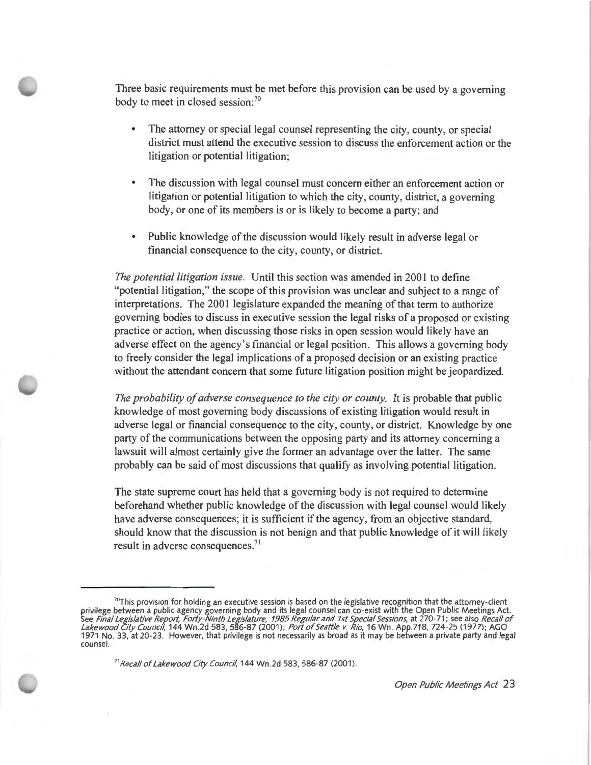Three basic requirements must be met before this provision can be used by a governing body to meet in closed session:<sup>70</sup>

- The attorney or special legal counsel representing the city, county, or special district must attend the executive session to discuss the enforcement action or the litigation or potential litigation;
- The discussion with legal counsel must concern either an enforcement action or litigation or potential litigation to which the city, county, district, a governing body, or one of its members is or is likely to become a party; and
- Public knowledge of the discussion would likely result in adverse legal or financial consequence to the city, county, or district.

*The potential litigation issue.* Until this section was amended in 2001 to define "potential litigation," the scope of this provision was unclear and subject to a range of interpretations. The 2001 legislature expanded the meaning of that term to authorize governing bodies to discuss in executive session the legal risks of a proposed or existing practice or action, when discussing those risks in open session would likely have an adverse effect on the agency's financial or legal position. This allows a governing body to freely consider the legal implications of a proposed decision or an existing practice without the attendant concern that some future litigation position might be jeopardized.

*The probability of adverse consequence to the city or county.* It is probable that public knowledge of most governing body discussions of existing litigation would result in adverse legal or financial consequence to the city, county, or district. Knowledge by one party of the communications between the opposing party and its attorney concerning a lawsuit will almost certainly give the former an advantage over the latter. The same probably can be said of most discussions that qualify as involving potential litigation.

The state supreme court has held that a governing body is not required to determine beforehand whether public knowledge of the discussion with legal counsel would likely have adverse consequences; it is sufficient if the agency, from an objective standard, should know that the discussion is not benign and that public knowledge of it will likely result in adverse consequences.<sup>71</sup>

<sup>71</sup> Recall of Lakewood City Council, 144 Wn.2d 583, 586-87 (2001).

 $^{70}$ This provision for holding an executive session is based on the legislative recognition that the attorney-client privilege between a public agency governing body and its legal counsel can co-exist with the Open Public Meetings Act.<br>See *Final Legislative Report, Forty-Ninth Legislature, 1985 Regular and 1st Special Sessions*, at 270-Lakewood City Council, 144 Wn 2d 583, 586-87 (2001); *Port of Seattle v. Rio*, 16 Wn. App.718, 724-25 (1977); AGO 1971 No. 33, at 20-23. However, that privilege is not necessarily as broad as it may be between a private party and legal counsel.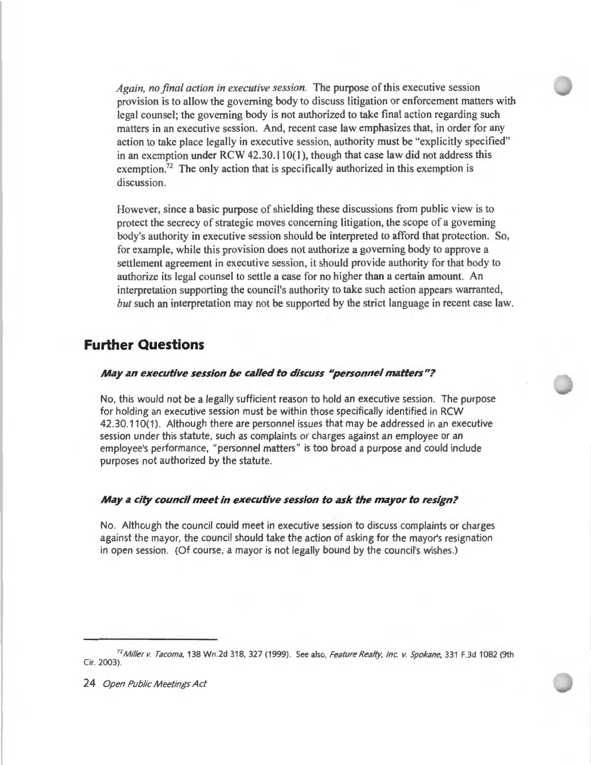*Again, no final action in executive session.* The purpose of this executive session provision is to allow the governing body to discuss litigation or enforcement matters with legal counsel; the governing body is not authorized to take final action regarding such matters in an executive session. And, recent case law emphasizes that, in order for any action to take place legally in executive session, authority must be "explicitly specified" in an exemption under RCW 42.30.110(1 ), though that case law did not address this exemption.<sup>72</sup> The only action that is specifically authorized in this exemption is discussion.

However, since a basic purpose of shielding these discussions from public view is to protect the secrecy of strategic moves concerning litigation, the scope of a governing body's authority in executive session should be interpreted to afford that protection. So, for example, while this provision does not authorize a governing body to approve a settlement agreement in executive session, it should provide authority for that body to authorize its legal counsel to settle a case for no higher than a certain amount. An interpretation supporting the council's authority to take such action appears warranted, *but* such an interpretation may not be supported by the strict language in recent case law.

### **Further Questions**

#### *May an executive session be called to discuss* **11***personnel matters"?*

No, this would not be a legally sufficient reason to hold an executive session. The purpose for holding an executive session must be within those specifically identified in RCW 42.30.110(1). Although there are personnel issues that may be addressed in an executive session under this statute, such as complaints or charges against an employee or an employee's performance, "personnel matters" is too broad a purpose and could include purposes not authorized by the statute.

#### *May a* **city** *council meet in executive session to ask the mayor to resign?*

No. Although the council could meet in executive session to discuss complaints or charges against the mayor, the council should take the action of asking for the mayor's resignation in open session. (Of course, a mayor is not legally bound by the council's wishes.)

<sup>&</sup>lt;sup>72</sup>Miller v. Tacoma, 138 Wn.2d 318, 327 (1999). See also, Feature Realty, Inc. v. Spokane, 331 F.3d 1082 (9th Cir. 2003).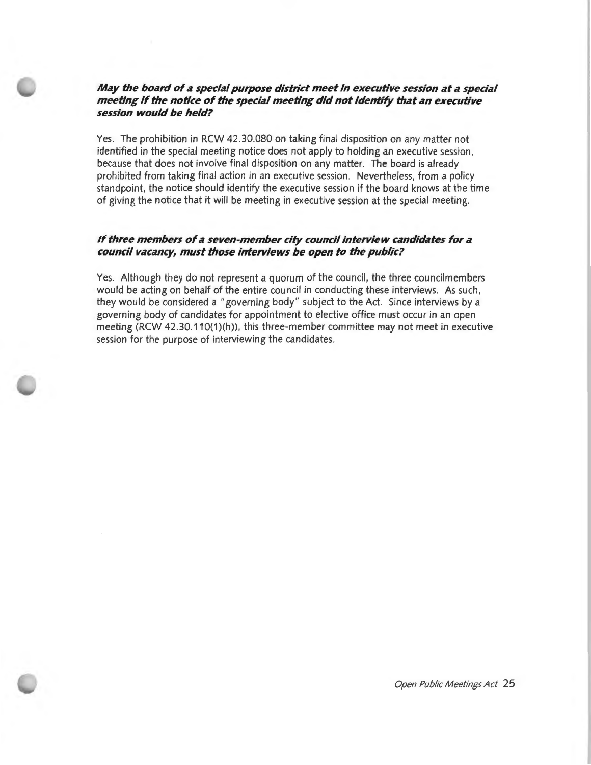#### *May the board of a special purpose district meet in executive session at a special meeting if the notice of the special meeting did not identify that an executive session would be held?*

Yes. The prohibition in RCW 42.30.080 on taking final disposition on any matter not identified in the special meeting notice does not apply to holding an executive session, because that does not involve final disposition on any matter. The board is already prohibited from taking final action in an executive session. Nevertheless, from a policy standpoint, the notice should identify the executive session if the board knows at the time of giving the notice that it will be meeting in executive session at the special meeting.

#### *If three members of a seven-member city council interview candidates for a council vacancy, must those interviews be open to the public?*

Yes. Although they do not represent a quorum of the council, the three councilmembers would be acting on behalf of the entire council in conducting these interviews. As such , they would be considered a " governing body " subject to the Act. Since interviews by a governing body of candidates for appointment to elective office must occur in an open meeting (RCW 42.30.110(1)(h)), this three-member committee may not meet in executive session for the purpose of interviewing the candidates.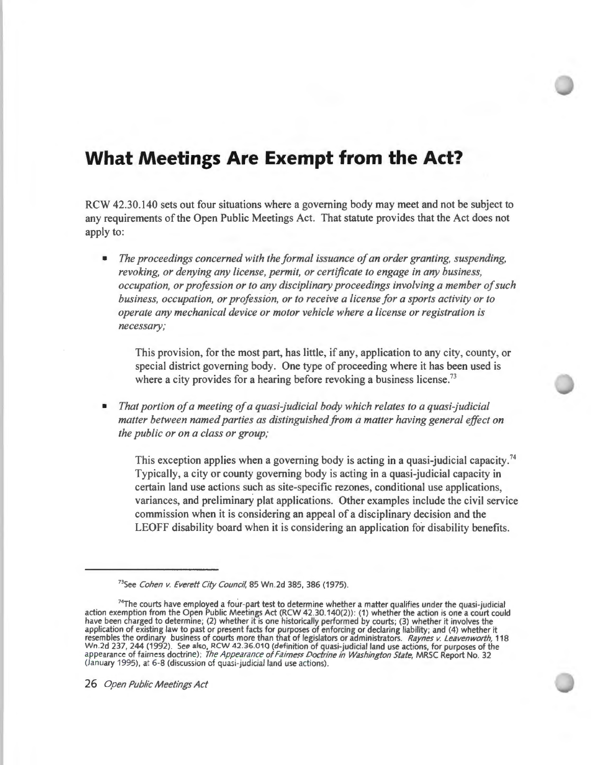### **What Meetings Are Exempt from the Act?**

RCW 42.30.140 sets out four situations where a governing body may meet and not be subject to any requirements of the Open Public Meetings Act. That statute provides that the Act does not apply to:

• *The proceedings concerned with the formal issuance of an order granting, suspending, revoking, or denying any license, permit, or certificate to engage in any business, occupation, or profession or to any disciplinary proceedings involving a member of such business, occupation, or profession, or to receive a license for a sports activity or to operate any mechanical device or motor vehicle where a license or registration is necessary;* 

This provision, for the most part, has little, if any, application to any city, county, or special district governing body. One type of proceeding where it has been used is where a city provides for a hearing before revoking a business license.<sup>73</sup>

• *That portion of a meeting of a quasi-judicial body which relates to a quasi-judicial matter between named parties as distinguished from a matter having general effect on the public or on a class or group;* 

This exception applies when a governing body is acting in a quasi-judicial capacity.<sup>74</sup> Typically, a city or county governing body is acting in a quasi-judicial capacity in certain land use actions such as site-specific rezones, conditional use applications, variances, and preliminary plat applications. Other examples include the civil service commission when it is considering an appeal of a disciplinary decision and the LEOFF disability board when it is considering an application for disability benefits.

<sup>&</sup>lt;sup>73</sup>See Cohen v. Everett City Council, 85 Wn.2d 385, 386 (1975).

<sup>&</sup>lt;sup>74</sup>The courts have employed a four-part test to determine whether a matter qualifies under the quasi-judicial action exemption from the Open Public Meetings Act (RCW 42.30.140(2)): (1) whether the action is one a court could have been charged to determine; (2) whether it is one historically performed by courts; (3) whether it involves the application of existing law to past or present facts for purposes of enforcing or declaring liability; and (4) whether it resembles the ordinary business of courts more than that of legislators or administrators. Raynes *v.* Leavenworth, 118 Wn 2d 237, 244 (1992). See also, RCW 42.36.010 (definition of quasi-judicial land use actions, for purposes of the<br>appearance of fairness doctrine); *The Appearance of Fairness Doctrine in Washington State*, MRSC Report N (January 1995), at 6-8 (discussion of quasi-judicial land use actions).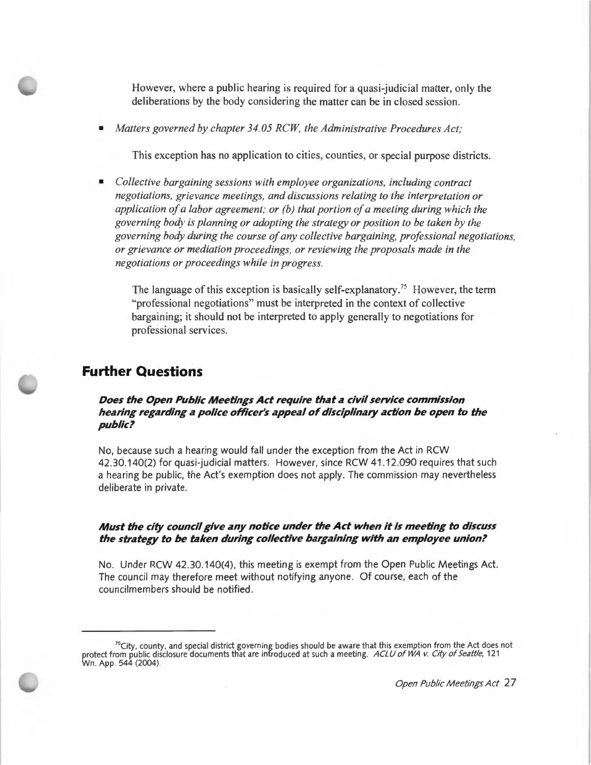However, where a public hearing is required for a quasi-judicial matter, only the deliberations by the body considering the matter can be in closed session.

• *Matters governed by chapter 34.05 RCW, the Administrative Procedures Act;* 

This exception has no application to cities, counties, or special purpose districts.

• *Collective bargaining sessions with employee organizations, including contract negotiations, grievance meetings, and discussions relating to the interpretation or application of a labor agreement; or (b) that portion of a meeting during which the governing body is planning or adopting the strategy or position to be taken by the governing body during the course of any collective bargaining, professional negotiations, or grievance or mediation proceedings, or reviewing the proposals made in the negotiations or proceedings while in progress.* 

The language of this exception is basically self-explanatory.<sup>75</sup> However, the term "professional negotiations" must be interpreted in the context of collective bargaining; it should not be interpreted to apply generally to negotiations for professional services.

### **Further Questions**

#### *Does the Open Public Meetings Act require thdt* **d** *civil service commission hedring regdrding* **d** *police officer's dppedl of disciplindry dction be open to the public?*

No, because such a hearing would fall under the exception from the Act in RCW 42.30.140(2) for quasi-judicial matters. However, since RCW 41.12.090 requires that such a hearing be public, the Act's exemption does not apply. The commission may nevertheless deliberate in private.

#### *Must the city council give dny notice under the Act when it is meeting to discuss*  the strategy to be taken during collective bargaining with an employee union?

No. Under RCW 42.30.140(4), this meeting is exempt from the Open Public Meetings Act. The council may therefore meet without notifying anyone. Of course, each of the councilmembers should be notified.

<sup>&</sup>lt;sup>75</sup>City, county, and special district governing bodies should be aware that this exemption from the Act does not<br>121 protect from public disclosure documents that are introduced at such a meeting. ACLU of WA v. City of Se Wn . App. 544 (2004).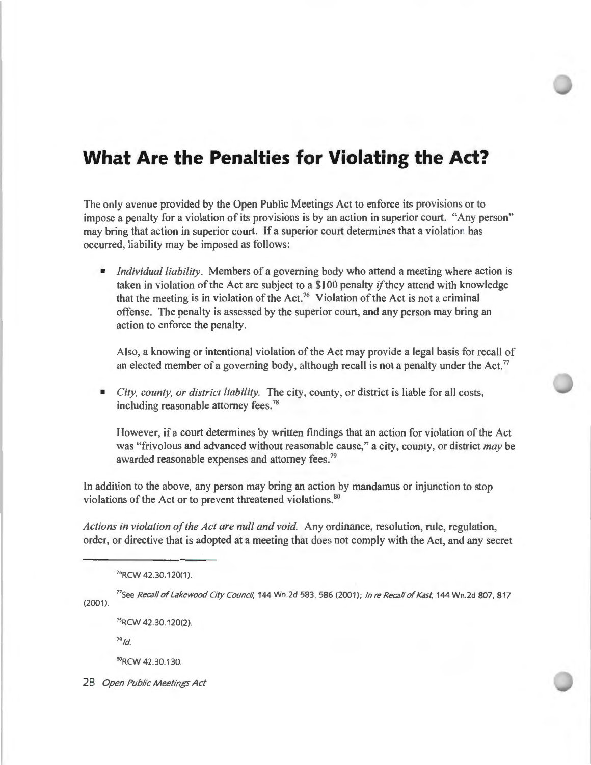# **What Are the Penalties for Violating the Act?**

The only avenue provided by the Open Public Meetings Act to enforce its provisions or to impose a penalty for a violation of its provisions is by an action in superior court. "Any person" may bring that action in superior court. If a superior court determines that a violation has occurred, liability may be imposed as follows:

• *Individual liability.* Members of a governing body who attend a meeting where action is taken in violation of the Act are subject to a \$100 penalty *if* they attend with knowledge that the meeting is in violation of the Act.<sup>76</sup> Violation of the Act is not a criminal offense. The penalty is assessed by the superior court, and any person may bring an action to enforce the penalty.

Also, a knowing or intentional violation of the Act may provide a legal basis for recall of an elected member of a governing body, although recall is not a penalty under the Act.<sup>77</sup>

• *City, county, or district liability.* The city, county, or district is liable for all costs, including reasonable attorney fees. 78

However, if a court determines by written findings that an action for violation of the Act was "frivolous and advanced without reasonable cause," a city, county, or district *may* be awarded reasonable expenses and attorney fees.<sup>79</sup>

In addition to the above, any person may bring an action by mandamus or injunction to stop violations of the Act or to prevent threatened violations.<sup>80</sup>

*Actions in violation of the Act are null and void.* Any ordinance, resolution, rule, regulation, order, or directive that is adopted at a meeting that does not comply with the Act, and any secret

<sup>76</sup>RCW 42.30.120(1).

(2001). <sup>77</sup>See Recall of Lakewood City Council, 144 Wn.2d 583, 586 (2001); In re Recall of Kast, 144 Wn.2d 807, 817

78RCW 42.30.120(2).

 $79$ Id.

80RCW 42.30.130.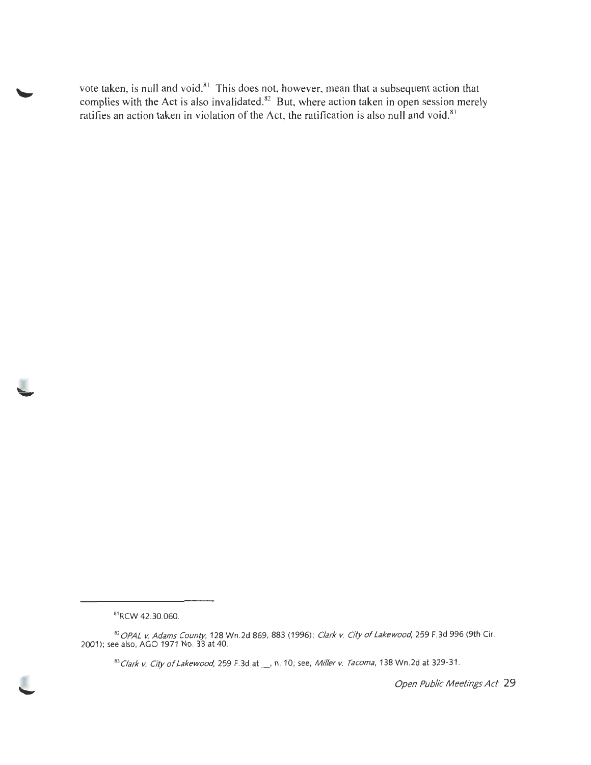vote taken, is null and void.<sup>81</sup> This does not, however, mean that a subsequent action that complies with the Act is also invalidated.<sup>82</sup> But, where action taken in open session merely ratifies an action taken in violation of the Act, the ratification is also null and void. 83

<sup>81</sup> RCW 42.30.060.

*<sup>82</sup>* OPAL *v.* Adams County, 128 Wn .2d 869, 883 (1996); Clark v. City of Lakewood, 259 F.3d 996 (9th Cir. 2001); see also, AGO 1971 No. 33 at 40.

<sup>83</sup> Clark v. City of Lakewood, 259 F.3d at \_\_, n. 10; see, Miller v. Tacoma, 138 Wn.2d at 329-31.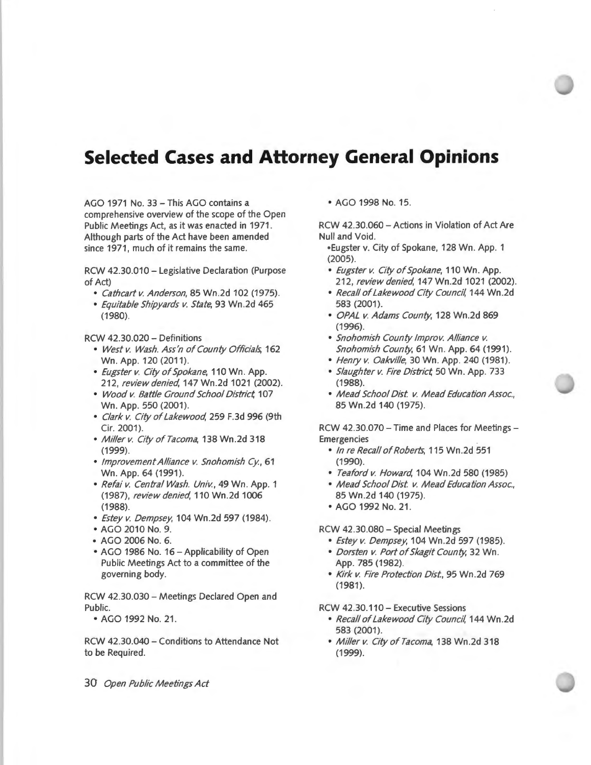# **Selected Cases and Attorney General Opinions**

AGO 1971 No. 33 - This AGO contains a comprehensive overview of the scope of the Open Public Meetings Act, as it was enacted in 1971. Although parts of the Act have been amended since 1971, much of it remains the same.

RCW 42.30.010 - Legislative Declaration (Purpose of Act)

- Cathcart v. Anderson, 85 Wn .2d 102 (1975).
- Equitable Shipyards v. State, 93 Wn .2d 465 (1980).

RCW 42.30.020 - Definitions

- West v. Wash. Ass'n of County Officials, 162 Wn. App. 120 (2011).
- Eugster v. City of Spokane, 110 Wn. App. 212, review denied, 147 Wn.2d 1021 (2002).
- Wood v. Battle Ground School District, 107 Wn. App. 550 (2001).
- Clark v. City of Lakewood, 259 F.3d 996 (9th Cir. 2001).
- Miller v. City of Tacoma, 138 Wn.2d 318 (1999).
- Improvement Alliance v. Snohomish Cy., 61 Wn. App. 64 (1991).
- Refai v. Central Wash. Univ., 49 Wn. App. 1 (1987), review denied, 110 Wn .2d 1006 (1988).
- Estey v. Dempsey, 104 Wn .2d 597 (1984).
- AGO 2010 No. 9.
- AGO 2006 No. 6.
- AGO 1986 No. 16-Applicability of Open Public Meetings Act to a committee of the governing body.

RCW 42.30.030 - Meetings Declared Open and Public.

• AGO 1992 No. 21 .

RCW 42.30.040 - Conditions to Attendance Not to be Required.

30 Open Public Meetings Act

• AGO 1998 No. 15.

RCW 42.30.060 -Actions in Violation of Act Are Null and Void.

- •Eugster v. City of Spokane, 128 Wn. App. 1 (2005).
- Eugster v. City of Spokane, 110 Wn. App. 212, review denied, 147 Wn.2d 1021 (2002).
- Recall of Lakewood City Council, 144 Wn .2d 583 (2001).
- OPAL v. Adams County, 128 Wn .2d 869 (1996).
- Snohomish County lmprov. Alliance v. Snohomish County, 61 Wn. App. 64 (1991).
- Henry v. Oakville, 30 Wn. App. 240 (1981).
- Slaughter v. Fire District, 50 Wn. App. 733 (1988).
- Mead School Dist. v. Mead Education Assoc., 85 Wn .2d 140 (1975).

RCW 42.30.070 - Time and Places for Meetings -Emergencies

- In re Recall of Roberts, 115 Wn.2d 551 (1990).
- Teaford v. Howard, 104 Wn .2d 580 (1985)
- Mead School Dist. v. Mead Education Assoc., 85 Wn .2d 140 (1975).
- AGO 1992 No. 21 .

#### RCW 42 .30.080 - Special Meetings

- Estey v. Dempsey, 104 Wn.2d 597 (1985).
- Dorsten v. Port of Skagit County, 32 Wn. App. 785 (1982).
- Kirk v. Fire Protection Dist, 95 Wn .2d 769  $(1981)$ .

RCW 42.30.110 - Executive Sessions

- Recall of Lakewood City Council, 144 Wn .2d 583 (2001).
- Miller v. City of Tacoma, 138 Wn.2d 318 (1999).